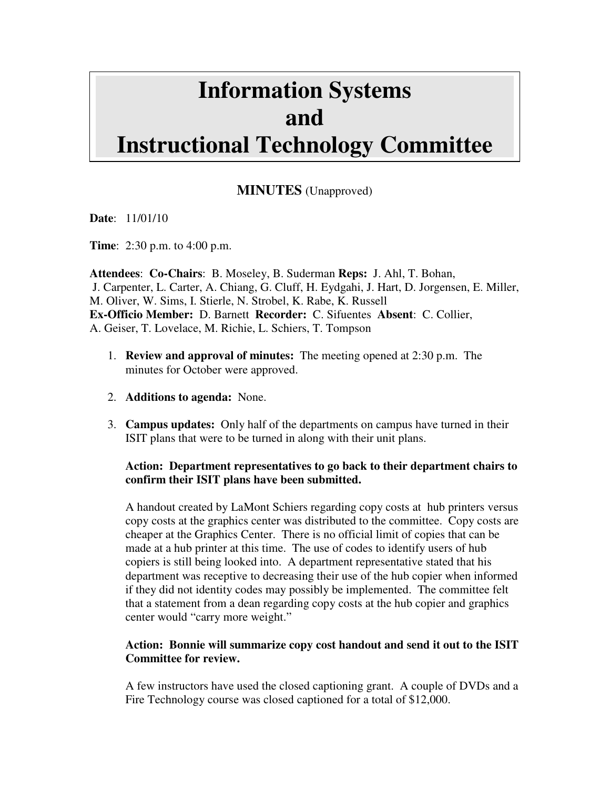# **Information Systems and Instructional Technology Committee**

# **MINUTES** (Unapproved)

**Date**: 11/01/10

**Time**: 2:30 p.m. to 4:00 p.m.

**Attendees**: **Co-Chairs**: B. Moseley, B. Suderman **Reps:** J. Ahl, T. Bohan, J. Carpenter, L. Carter, A. Chiang, G. Cluff, H. Eydgahi, J. Hart, D. Jorgensen, E. Miller, M. Oliver, W. Sims, I. Stierle, N. Strobel, K. Rabe, K. Russell **Ex-Officio Member:** D. Barnett **Recorder:** C. Sifuentes **Absent**: C. Collier, A. Geiser, T. Lovelace, M. Richie, L. Schiers, T. Tompson

- 1. **Review and approval of minutes:** The meeting opened at 2:30 p.m. The minutes for October were approved.
- 2. **Additions to agenda:** None.
- 3. **Campus updates:** Only half of the departments on campus have turned in their ISIT plans that were to be turned in along with their unit plans.

#### **Action: Department representatives to go back to their department chairs to confirm their ISIT plans have been submitted.**

A handout created by LaMont Schiers regarding copy costs at hub printers versus copy costs at the graphics center was distributed to the committee. Copy costs are cheaper at the Graphics Center. There is no official limit of copies that can be made at a hub printer at this time. The use of codes to identify users of hub copiers is still being looked into. A department representative stated that his department was receptive to decreasing their use of the hub copier when informed if they did not identity codes may possibly be implemented. The committee felt that a statement from a dean regarding copy costs at the hub copier and graphics center would "carry more weight."

#### **Action: Bonnie will summarize copy cost handout and send it out to the ISIT Committee for review.**

A few instructors have used the closed captioning grant. A couple of DVDs and a Fire Technology course was closed captioned for a total of \$12,000.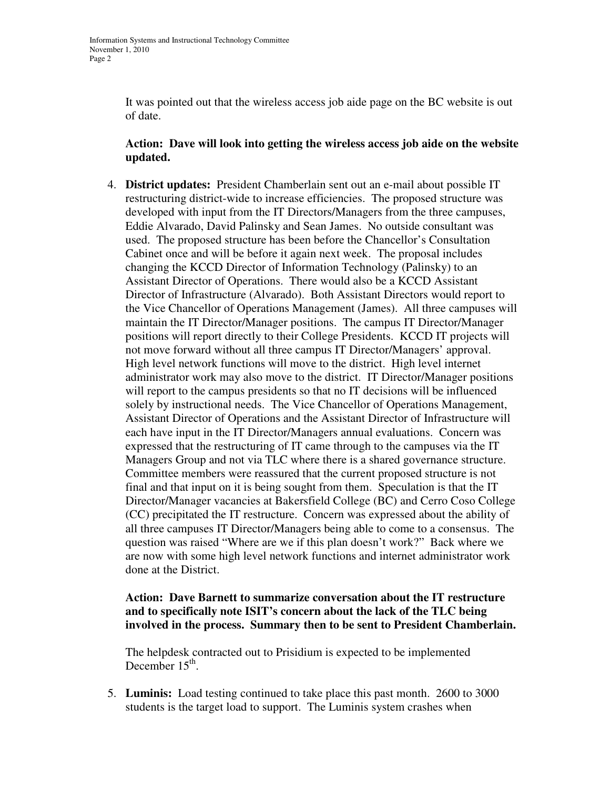It was pointed out that the wireless access job aide page on the BC website is out of date.

#### **Action: Dave will look into getting the wireless access job aide on the website updated.**

4. **District updates:** President Chamberlain sent out an e-mail about possible IT restructuring district-wide to increase efficiencies. The proposed structure was developed with input from the IT Directors/Managers from the three campuses, Eddie Alvarado, David Palinsky and Sean James. No outside consultant was used. The proposed structure has been before the Chancellor's Consultation Cabinet once and will be before it again next week. The proposal includes changing the KCCD Director of Information Technology (Palinsky) to an Assistant Director of Operations. There would also be a KCCD Assistant Director of Infrastructure (Alvarado). Both Assistant Directors would report to the Vice Chancellor of Operations Management (James). All three campuses will maintain the IT Director/Manager positions. The campus IT Director/Manager positions will report directly to their College Presidents. KCCD IT projects will not move forward without all three campus IT Director/Managers' approval. High level network functions will move to the district. High level internet administrator work may also move to the district. IT Director/Manager positions will report to the campus presidents so that no IT decisions will be influenced solely by instructional needs. The Vice Chancellor of Operations Management, Assistant Director of Operations and the Assistant Director of Infrastructure will each have input in the IT Director/Managers annual evaluations. Concern was expressed that the restructuring of IT came through to the campuses via the IT Managers Group and not via TLC where there is a shared governance structure. Committee members were reassured that the current proposed structure is not final and that input on it is being sought from them. Speculation is that the IT Director/Manager vacancies at Bakersfield College (BC) and Cerro Coso College (CC) precipitated the IT restructure. Concern was expressed about the ability of all three campuses IT Director/Managers being able to come to a consensus. The question was raised "Where are we if this plan doesn't work?" Back where we are now with some high level network functions and internet administrator work done at the District.

## **Action: Dave Barnett to summarize conversation about the IT restructure and to specifically note ISIT's concern about the lack of the TLC being involved in the process. Summary then to be sent to President Chamberlain.**

The helpdesk contracted out to Prisidium is expected to be implemented December  $15<sup>th</sup>$ .

5. **Luminis:** Load testing continued to take place this past month. 2600 to 3000 students is the target load to support. The Luminis system crashes when